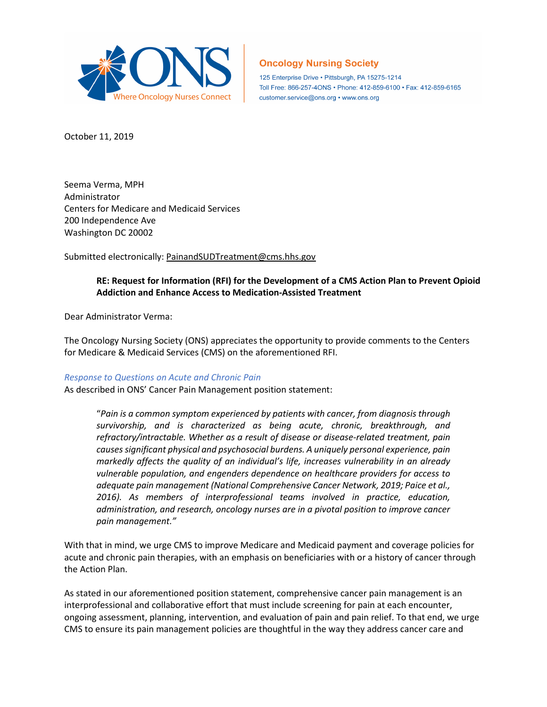

# **Oncology Nursing Society**

125 Enterprise Drive · Pittsburgh, PA 15275-1214 Toll Free: 866-257-4ONS · Phone: 412-859-6100 · Fax: 412-859-6165 customer.service@ons.org • www.ons.org

October 11, 2019

Seema Verma, MPH Administrator Centers for Medicare and Medicaid Services 200 Independence Ave Washington DC 20002

Submitted electronically: [PainandSUDTreatment@cms.hhs.gov](mailto:PainandSUDTreatment@cms.hhs.gov)

# **RE: Request for Information (RFI) for the Development of a CMS Action Plan to Prevent Opioid Addiction and Enhance Access to Medication-Assisted Treatment**

Dear Administrator Verma:

The Oncology Nursing Society (ONS) appreciates the opportunity to provide comments to the Centers for Medicare & Medicaid Services (CMS) on the aforementioned RFI.

#### *Response to Questions on Acute and Chronic Pain*

As described in ONS' Cancer Pain Management position statement:

"*Pain is a common symptom experienced by patients with cancer, from diagnosis through survivorship, and is characterized as being acute, chronic, breakthrough, and refractory/intractable. Whether as a result of disease or disease-related treatment, pain causes significant physical and psychosocial burdens. A uniquely personal experience, pain markedly affects the quality of an individual's life, increases vulnerability in an already vulnerable population, and engenders dependence on healthcare providers for access to adequate pain management (National Comprehensive Cancer Network, 2019; Paice et al., 2016). As members of interprofessional teams involved in practice, education, administration, and research, oncology nurses are in a pivotal position to improve cancer pain management."*

With that in mind, we urge CMS to improve Medicare and Medicaid payment and coverage policies for acute and chronic pain therapies, with an emphasis on beneficiaries with or a history of cancer through the Action Plan.

As stated in our aforementioned position statement, comprehensive cancer pain management is an interprofessional and collaborative effort that must include screening for pain at each encounter, ongoing assessment, planning, intervention, and evaluation of pain and pain relief. To that end, we urge CMS to ensure its pain management policies are thoughtful in the way they address cancer care and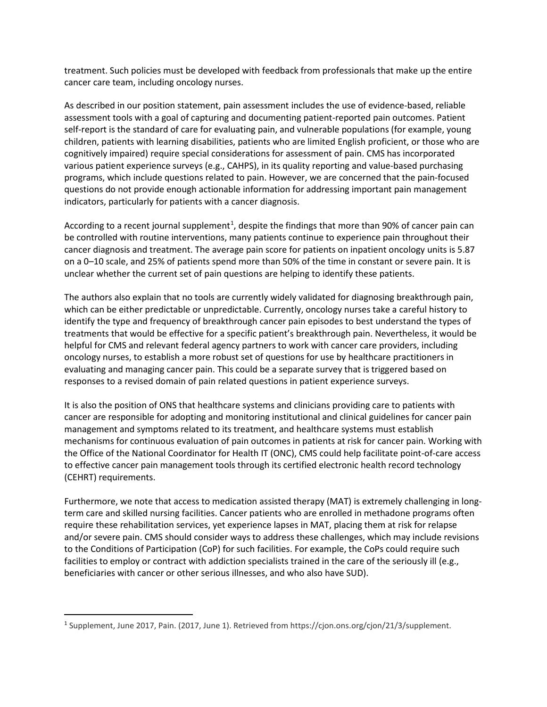treatment. Such policies must be developed with feedback from professionals that make up the entire cancer care team, including oncology nurses.

As described in our position statement, pain assessment includes the use of evidence-based, reliable assessment tools with a goal of capturing and documenting patient-reported pain outcomes. Patient self-report is the standard of care for evaluating pain, and vulnerable populations (for example, young children, patients with learning disabilities, patients who are limited English proficient, or those who are cognitively impaired) require special considerations for assessment of pain. CMS has incorporated various patient experience surveys (e.g., CAHPS), in its quality reporting and value-based purchasing programs, which include questions related to pain. However, we are concerned that the pain-focused questions do not provide enough actionable information for addressing important pain management indicators, particularly for patients with a cancer diagnosis.

According to a recent journal supplement<sup>[1](#page-1-0)</sup>, despite the findings that more than 90% of cancer pain can be controlled with routine interventions, many patients continue to experience pain throughout their cancer diagnosis and treatment. The average pain score for patients on inpatient oncology units is 5.87 on a 0–10 scale, and 25% of patients spend more than 50% of the time in constant or severe pain. It is unclear whether the current set of pain questions are helping to identify these patients.

The authors also explain that no tools are currently widely validated for diagnosing breakthrough pain, which can be either predictable or unpredictable. Currently, oncology nurses take a careful history to identify the type and frequency of breakthrough cancer pain episodes to best understand the types of treatments that would be effective for a specific patient's breakthrough pain. Nevertheless, it would be helpful for CMS and relevant federal agency partners to work with cancer care providers, including oncology nurses, to establish a more robust set of questions for use by healthcare practitioners in evaluating and managing cancer pain. This could be a separate survey that is triggered based on responses to a revised domain of pain related questions in patient experience surveys.

It is also the position of ONS that healthcare systems and clinicians providing care to patients with cancer are responsible for adopting and monitoring institutional and clinical guidelines for cancer pain management and symptoms related to its treatment, and healthcare systems must establish mechanisms for continuous evaluation of pain outcomes in patients at risk for cancer pain. Working with the Office of the National Coordinator for Health IT (ONC), CMS could help facilitate point-of-care access to effective cancer pain management tools through its certified electronic health record technology (CEHRT) requirements.

Furthermore, we note that access to medication assisted therapy (MAT) is extremely challenging in longterm care and skilled nursing facilities. Cancer patients who are enrolled in methadone programs often require these rehabilitation services, yet experience lapses in MAT, placing them at risk for relapse and/or severe pain. CMS should consider ways to address these challenges, which may include revisions to the Conditions of Participation (CoP) for such facilities. For example, the CoPs could require such facilities to employ or contract with addiction specialists trained in the care of the seriously ill (e.g., beneficiaries with cancer or other serious illnesses, and who also have SUD).

<span id="page-1-0"></span><sup>1</sup> Supplement, June 2017, Pain. (2017, June 1). Retrieved from https://cjon.ons.org/cjon/21/3/supplement.